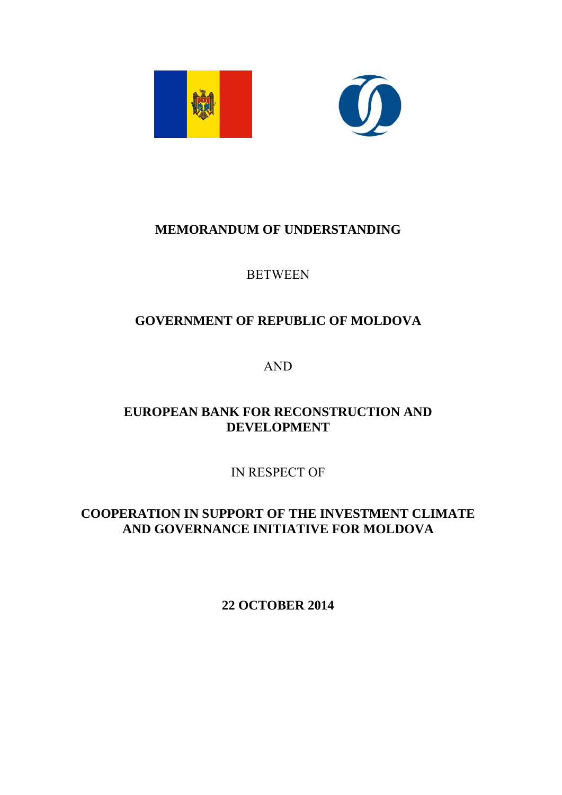



# **MEMORANDUM OF UNDERSTANDING**

### **BETWEEN**

# **GOVERNMENT OF REPUBLIC OF MOLDOVA**

AND

## **EUROPEAN BANK FOR RECONSTRUCTION AND DEVELOPMENT**

IN RESPECT OF

**COOPERATION IN SUPPORT OF THE INVESTMENT CLIMATE AND GOVERNANCE INITIATIVE FOR MOLDOVA** 

**22 OCTOBER 2014**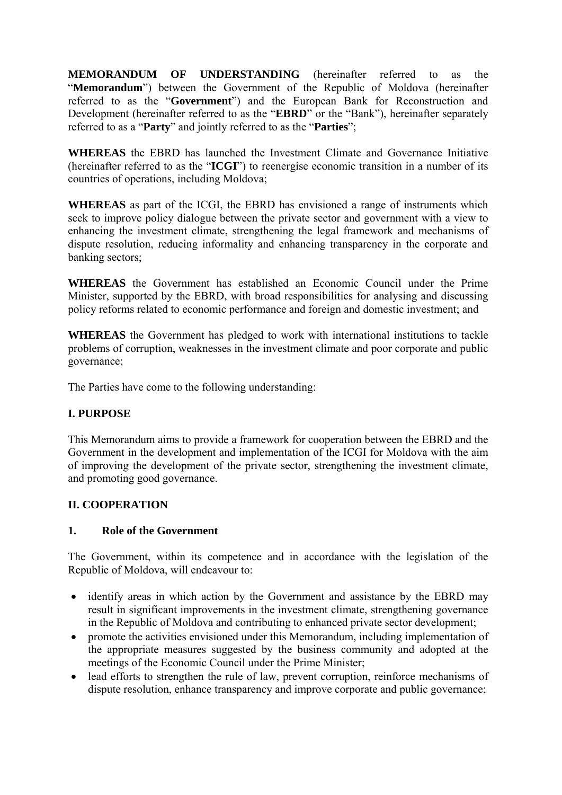**MEMORANDUM OF UNDERSTANDING** (hereinafter referred to as the "**Memorandum**") between the Government of the Republic of Moldova (hereinafter referred to as the "**Government**") and the European Bank for Reconstruction and Development (hereinafter referred to as the "**EBRD**" or the "Bank"), hereinafter separately referred to as a "**Party**" and jointly referred to as the "**Parties**";

**WHEREAS** the EBRD has launched the Investment Climate and Governance Initiative (hereinafter referred to as the "**ICGI**") to reenergise economic transition in a number of its countries of operations, including Moldova;

**WHEREAS** as part of the ICGI, the EBRD has envisioned a range of instruments which seek to improve policy dialogue between the private sector and government with a view to enhancing the investment climate, strengthening the legal framework and mechanisms of dispute resolution, reducing informality and enhancing transparency in the corporate and banking sectors;

**WHEREAS** the Government has established an Economic Council under the Prime Minister, supported by the EBRD, with broad responsibilities for analysing and discussing policy reforms related to economic performance and foreign and domestic investment; and

**WHEREAS** the Government has pledged to work with international institutions to tackle problems of corruption, weaknesses in the investment climate and poor corporate and public governance;

The Parties have come to the following understanding:

#### **I. PURPOSE**

This Memorandum aims to provide a framework for cooperation between the EBRD and the Government in the development and implementation of the ICGI for Moldova with the aim of improving the development of the private sector, strengthening the investment climate, and promoting good governance.

#### **II. COOPERATION**

#### **1. Role of the Government**

The Government, within its competence and in accordance with the legislation of the Republic of Moldova, will endeavour to:

- identify areas in which action by the Government and assistance by the EBRD may result in significant improvements in the investment climate, strengthening governance in the Republic of Moldova and contributing to enhanced private sector development;
- promote the activities envisioned under this Memorandum, including implementation of the appropriate measures suggested by the business community and adopted at the meetings of the Economic Council under the Prime Minister;
- lead efforts to strengthen the rule of law, prevent corruption, reinforce mechanisms of dispute resolution, enhance transparency and improve corporate and public governance;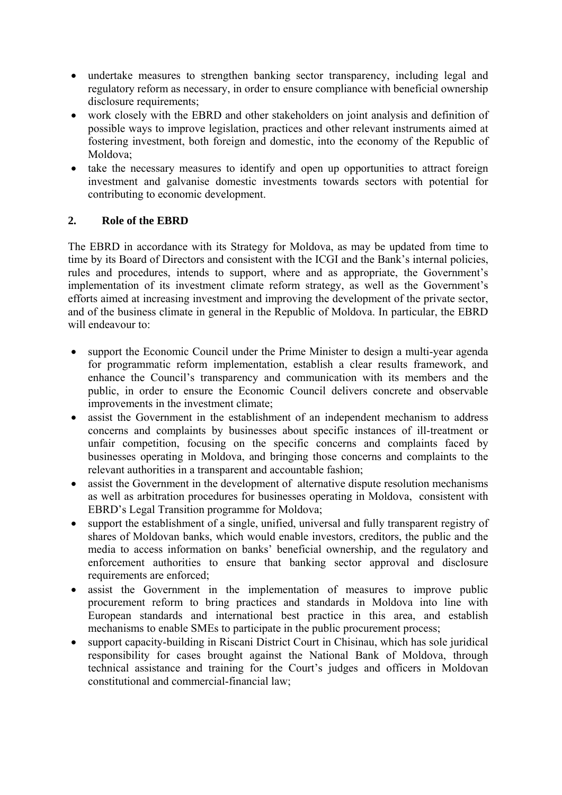- undertake measures to strengthen banking sector transparency, including legal and regulatory reform as necessary, in order to ensure compliance with beneficial ownership disclosure requirements;
- work closely with the EBRD and other stakeholders on joint analysis and definition of possible ways to improve legislation, practices and other relevant instruments aimed at fostering investment, both foreign and domestic, into the economy of the Republic of Moldova;
- take the necessary measures to identify and open up opportunities to attract foreign investment and galvanise domestic investments towards sectors with potential for contributing to economic development.

### **2. Role of the EBRD**

The EBRD in accordance with its Strategy for Moldova, as may be updated from time to time by its Board of Directors and consistent with the ICGI and the Bank's internal policies, rules and procedures, intends to support, where and as appropriate, the Government's implementation of its investment climate reform strategy, as well as the Government's efforts aimed at increasing investment and improving the development of the private sector, and of the business climate in general in the Republic of Moldova. In particular, the EBRD will endeavour to:

- support the Economic Council under the Prime Minister to design a multi-year agenda for programmatic reform implementation, establish a clear results framework, and enhance the Council's transparency and communication with its members and the public, in order to ensure the Economic Council delivers concrete and observable improvements in the investment climate;
- assist the Government in the establishment of an independent mechanism to address concerns and complaints by businesses about specific instances of ill-treatment or unfair competition, focusing on the specific concerns and complaints faced by businesses operating in Moldova, and bringing those concerns and complaints to the relevant authorities in a transparent and accountable fashion;
- assist the Government in the development of alternative dispute resolution mechanisms as well as arbitration procedures for businesses operating in Moldova, consistent with EBRD's Legal Transition programme for Moldova;
- support the establishment of a single, unified, universal and fully transparent registry of shares of Moldovan banks, which would enable investors, creditors, the public and the media to access information on banks' beneficial ownership, and the regulatory and enforcement authorities to ensure that banking sector approval and disclosure requirements are enforced;
- assist the Government in the implementation of measures to improve public procurement reform to bring practices and standards in Moldova into line with European standards and international best practice in this area, and establish mechanisms to enable SMEs to participate in the public procurement process;
- support capacity-building in Riscani District Court in Chisinau, which has sole juridical responsibility for cases brought against the National Bank of Moldova, through technical assistance and training for the Court's judges and officers in Moldovan constitutional and commercial-financial law;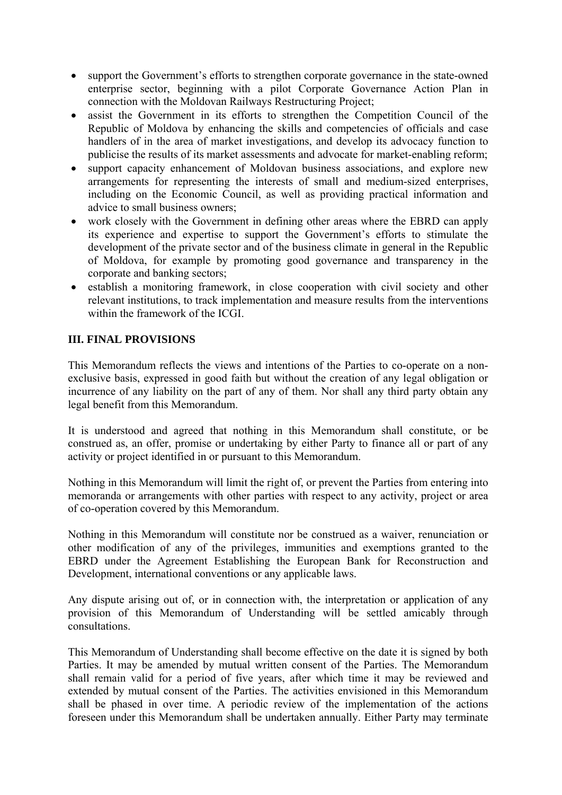- support the Government's efforts to strengthen corporate governance in the state-owned enterprise sector, beginning with a pilot Corporate Governance Action Plan in connection with the Moldovan Railways Restructuring Project;
- assist the Government in its efforts to strengthen the Competition Council of the Republic of Moldova by enhancing the skills and competencies of officials and case handlers of in the area of market investigations, and develop its advocacy function to publicise the results of its market assessments and advocate for market-enabling reform;
- support capacity enhancement of Moldovan business associations, and explore new arrangements for representing the interests of small and medium-sized enterprises, including on the Economic Council, as well as providing practical information and advice to small business owners;
- work closely with the Government in defining other areas where the EBRD can apply its experience and expertise to support the Government's efforts to stimulate the development of the private sector and of the business climate in general in the Republic of Moldova, for example by promoting good governance and transparency in the corporate and banking sectors;
- establish a monitoring framework, in close cooperation with civil society and other relevant institutions, to track implementation and measure results from the interventions within the framework of the ICGI.

### **III. FINAL PROVISIONS**

This Memorandum reflects the views and intentions of the Parties to co-operate on a nonexclusive basis, expressed in good faith but without the creation of any legal obligation or incurrence of any liability on the part of any of them. Nor shall any third party obtain any legal benefit from this Memorandum.

It is understood and agreed that nothing in this Memorandum shall constitute, or be construed as, an offer, promise or undertaking by either Party to finance all or part of any activity or project identified in or pursuant to this Memorandum.

Nothing in this Memorandum will limit the right of, or prevent the Parties from entering into memoranda or arrangements with other parties with respect to any activity, project or area of co-operation covered by this Memorandum.

Nothing in this Memorandum will constitute nor be construed as a waiver, renunciation or other modification of any of the privileges, immunities and exemptions granted to the EBRD under the Agreement Establishing the European Bank for Reconstruction and Development, international conventions or any applicable laws.

Any dispute arising out of, or in connection with, the interpretation or application of any provision of this Memorandum of Understanding will be settled amicably through consultations.

This Memorandum of Understanding shall become effective on the date it is signed by both Parties. It may be amended by mutual written consent of the Parties. The Memorandum shall remain valid for a period of five years, after which time it may be reviewed and extended by mutual consent of the Parties. The activities envisioned in this Memorandum shall be phased in over time. A periodic review of the implementation of the actions foreseen under this Memorandum shall be undertaken annually. Either Party may terminate